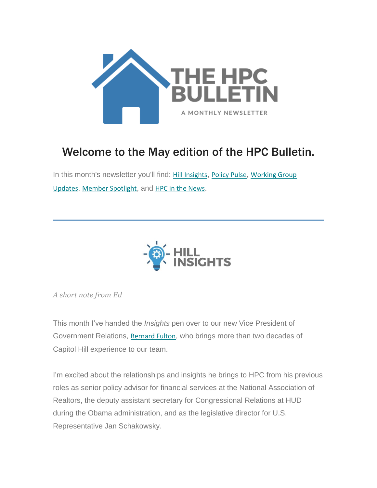

# Welcome to the May edition of the HPC Bulletin.

In this month's newsletter you'll find: [Hill Insights](#page-0-0), [Policy Pulse](#page-3-0), Working Group [Updates](#page-5-0), [Member Spotlight](#page-7-0), and [HPC in the News](#page-8-0).



<span id="page-0-0"></span>*A short note from Ed*

This month I've handed the *Insights* pen over to our new Vice President of Government Relations, [Bernard Fulton](https://housingpolicycouncil.us4.list-manage.com/track/click?u=5140623077e4523696cc45400&id=1d77b9be5e&e=c083e28ab2), who brings more than two decades of Capitol Hill experience to our team.

I'm excited about the relationships and insights he brings to HPC from his previous roles as senior policy advisor for financial services at the National Association of Realtors, the deputy assistant secretary for Congressional Relations at HUD during the Obama administration, and as the legislative director for U.S. Representative Jan Schakowsky.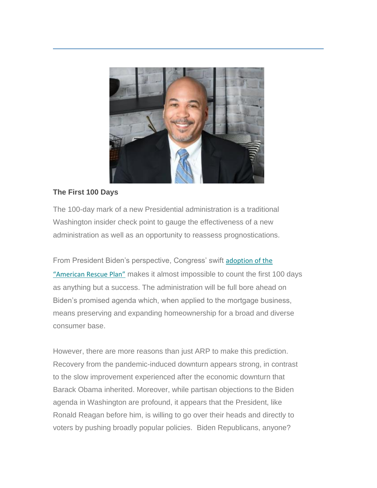

# **The First 100 Days**

The 100-day mark of a new Presidential administration is a traditional Washington insider check point to gauge the effectiveness of a new administration as well as an opportunity to reassess prognostications.

From President Biden's perspective, Congress' swift [adoption of the](https://housingpolicycouncil.us4.list-manage.com/track/click?u=5140623077e4523696cc45400&id=13d0fb8160&e=c083e28ab2)  ["American Rescue Plan"](https://housingpolicycouncil.us4.list-manage.com/track/click?u=5140623077e4523696cc45400&id=13d0fb8160&e=c083e28ab2) makes it almost impossible to count the first 100 days as anything but a success. The administration will be full bore ahead on Biden's promised agenda which, when applied to the mortgage business, means preserving and expanding homeownership for a broad and diverse consumer base.

However, there are more reasons than just ARP to make this prediction. Recovery from the pandemic-induced downturn appears strong, in contrast to the slow improvement experienced after the economic downturn that Barack Obama inherited. Moreover, while partisan objections to the Biden agenda in Washington are profound, it appears that the President, like Ronald Reagan before him, is willing to go over their heads and directly to voters by pushing broadly popular policies. Biden Republicans, anyone?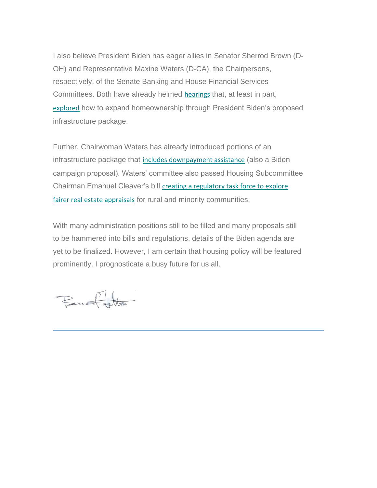I also believe President Biden has eager allies in Senator Sherrod Brown (D-OH) and Representative Maxine Waters (D-CA), the Chairpersons, respectively, of the Senate Banking and House Financial Services Committees. Both have already helmed [hearings](https://housingpolicycouncil.us4.list-manage.com/track/click?u=5140623077e4523696cc45400&id=1fff0c709e&e=c083e28ab2) that, at least in part, [explored](https://housingpolicycouncil.us4.list-manage.com/track/click?u=5140623077e4523696cc45400&id=dde40ab4a8&e=c083e28ab2) how to expand homeownership through President Biden's proposed infrastructure package.

Further, Chairwoman Waters has already introduced portions of an infrastructure package that [includes downpayment assistance](https://housingpolicycouncil.us4.list-manage.com/track/click?u=5140623077e4523696cc45400&id=e6649a0c20&e=c083e28ab2) (also a Biden campaign proposal). Waters' committee also passed Housing Subcommittee Chairman Emanuel Cleaver's bill creating a regulatory task force to explore [fairer real estate appraisals](https://housingpolicycouncil.us4.list-manage.com/track/click?u=5140623077e4523696cc45400&id=c27cb7ca3a&e=c083e28ab2) for rural and minority communities.

With many administration positions still to be filled and many proposals still to be hammered into bills and regulations, details of the Biden agenda are yet to be finalized. However, I am certain that housing policy will be featured prominently. I prognosticate a busy future for us all.

Bernard Farther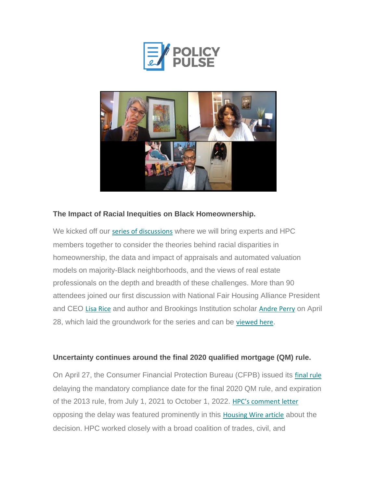



# <span id="page-3-0"></span>**The Impact of Racial Inequities on Black Homeownership.**

We kicked off our [series of discussions](https://housingpolicycouncil.us4.list-manage.com/track/click?u=5140623077e4523696cc45400&id=c424ced4bf&e=c083e28ab2) where we will bring experts and HPC members together to consider the theories behind racial disparities in homeownership, the data and impact of appraisals and automated valuation models on majority-Black neighborhoods, and the views of real estate professionals on the depth and breadth of these challenges. More than 90 attendees joined our first discussion with National Fair Housing Alliance President and CEO [Lisa Rice](https://housingpolicycouncil.us4.list-manage.com/track/click?u=5140623077e4523696cc45400&id=0c609783bf&e=c083e28ab2) and author and Brookings Institution scholar [Andre Perry](https://housingpolicycouncil.us4.list-manage.com/track/click?u=5140623077e4523696cc45400&id=4b7248287c&e=c083e28ab2) on April 28, which laid the groundwork for the series and can be [viewed here](https://housingpolicycouncil.us4.list-manage.com/track/click?u=5140623077e4523696cc45400&id=1865aa46b9&e=c083e28ab2).

# **Uncertainty continues around the final 2020 qualified mortgage (QM) rule.**

On April 27, the Consumer Financial Protection Bureau (CFPB) issued its [final rule](https://housingpolicycouncil.us4.list-manage.com/track/click?u=5140623077e4523696cc45400&id=898faf8c47&e=c083e28ab2) delaying the mandatory compliance date for the final 2020 QM rule, and expiration of the 2013 rule, from July 1, 2021 to October 1, 2022. [HPC's comment letter](https://housingpolicycouncil.us4.list-manage.com/track/click?u=5140623077e4523696cc45400&id=9161d07d4d&e=c083e28ab2) opposing the delay was featured prominently in this [Housing Wire article](https://housingpolicycouncil.us4.list-manage.com/track/click?u=5140623077e4523696cc45400&id=26fe5a4d50&e=c083e28ab2) about the decision. HPC worked closely with a broad coalition of trades, civil, and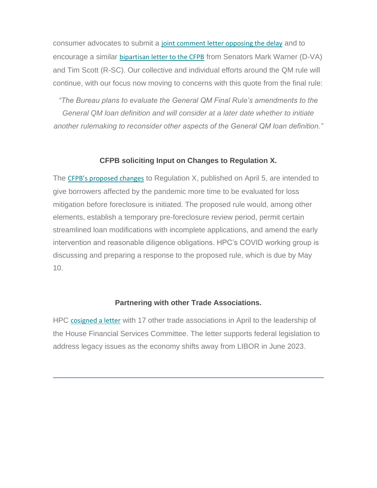consumer advocates to submit a [joint comment letter opposing the delay](https://housingpolicycouncil.us4.list-manage.com/track/click?u=5140623077e4523696cc45400&id=82b3f0af2a&e=c083e28ab2) and to encourage a similar [bipartisan letter to the CFPB](https://housingpolicycouncil.us4.list-manage.com/track/click?u=5140623077e4523696cc45400&id=1ed030aedd&e=c083e28ab2) from Senators Mark Warner (D-VA) and Tim Scott (R-SC). Our collective and individual efforts around the QM rule will continue, with our focus now moving to concerns with this quote from the final rule:

*"The Bureau plans to evaluate the General QM Final Rule's amendments to the General QM loan definition and will consider at a later date whether to initiate another rulemaking to reconsider other aspects of the General QM loan definition."*

#### **CFPB soliciting Input on Changes to Regulation X.**

The [CFPB's proposed changes](https://housingpolicycouncil.us4.list-manage.com/track/click?u=5140623077e4523696cc45400&id=70a860f7ed&e=c083e28ab2) to Regulation X, published on April 5, are intended to give borrowers affected by the pandemic more time to be evaluated for loss mitigation before foreclosure is initiated. The proposed rule would, among other elements, establish a temporary pre-foreclosure review period, permit certain streamlined loan modifications with incomplete applications, and amend the early intervention and reasonable diligence obligations. HPC's COVID working group is discussing and preparing a response to the proposed rule, which is due by May 10.

#### **Partnering with other Trade Associations.**

HPC [cosigned a letter](https://housingpolicycouncil.us4.list-manage.com/track/click?u=5140623077e4523696cc45400&id=23885b9638&e=c083e28ab2) with 17 other trade associations in April to the leadership of the House Financial Services Committee. The letter supports federal legislation to address legacy issues as the economy shifts away from LIBOR in June 2023.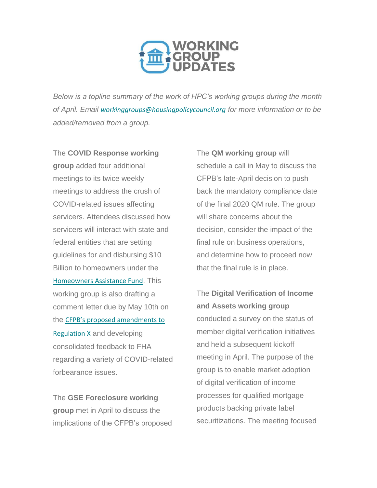

<span id="page-5-0"></span>*Below is a topline summary of the work of HPC's working groups during the month of April. Email [workinggroups@housingpolicycouncil.org](mailto:workinggroups@housingpolicycouncil.org) for more information or to be added/removed from a group.*

The **COVID Response working group** added four additional meetings to its twice weekly meetings to address the crush of COVID-related issues affecting servicers. Attendees discussed how servicers will interact with state and federal entities that are setting guidelines for and disbursing \$10 Billion to homeowners under the [Homeowners Assistance Fund](https://housingpolicycouncil.us4.list-manage.com/track/click?u=5140623077e4523696cc45400&id=bd655dfc2c&e=c083e28ab2). This working group is also drafting a comment letter due by May 10th on the [CFPB's proposed amendments to](https://housingpolicycouncil.us4.list-manage.com/track/click?u=5140623077e4523696cc45400&id=b2332afd14&e=c083e28ab2)  [Regulation X](https://housingpolicycouncil.us4.list-manage.com/track/click?u=5140623077e4523696cc45400&id=b2332afd14&e=c083e28ab2) and developing consolidated feedback to FHA regarding a variety of COVID-related forbearance issues.

The **GSE Foreclosure working group** met in April to discuss the implications of the CFPB's proposed The **QM working group** will schedule a call in May to discuss the CFPB's late-April decision to push back the mandatory compliance date of the final 2020 QM rule. The group will share concerns about the decision, consider the impact of the final rule on business operations, and determine how to proceed now that the final rule is in place.

The **Digital Verification of Income and Assets working group** conducted a survey on the status of member digital verification initiatives and held a subsequent kickoff meeting in April. The purpose of the group is to enable market adoption of digital verification of income processes for qualified mortgage products backing private label securitizations. The meeting focused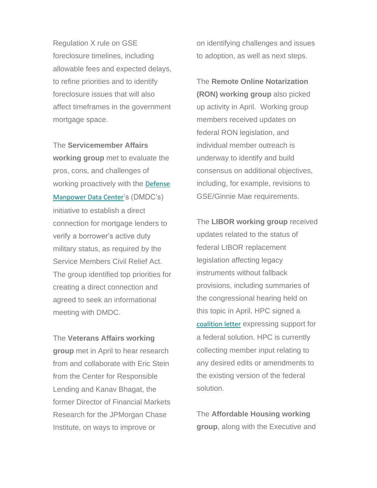Regulation X rule on GSE foreclosure timelines, including allowable fees and expected delays, to refine priorities and to identify foreclosure issues that will also affect timeframes in the government mortgage space.

The **Servicemember Affairs working group** met to evaluate the pros, cons, and challenges of working proactively with the [Defense](https://housingpolicycouncil.us4.list-manage.com/track/click?u=5140623077e4523696cc45400&id=7eec3fa18d&e=c083e28ab2)  [Manpower Data Center](https://housingpolicycouncil.us4.list-manage.com/track/click?u=5140623077e4523696cc45400&id=7eec3fa18d&e=c083e28ab2)'s (DMDC's) initiative to establish a direct connection for mortgage lenders to verify a borrower's active duty military status, as required by the Service Members Civil Relief Act. The group identified top priorities for creating a direct connection and agreed to seek an informational meeting with DMDC.

The **Veterans Affairs working group** met in April to hear research from and collaborate with Eric Stein from the Center for Responsible Lending and Kanav Bhagat, the former Director of Financial Markets Research for the JPMorgan Chase Institute, on ways to improve or

on identifying challenges and issues to adoption, as well as next steps.

The **Remote Online Notarization (RON) working group** also picked up activity in April. Working group members received updates on federal RON legislation, and individual member outreach is underway to identify and build consensus on additional objectives, including, for example, revisions to GSE/Ginnie Mae requirements.

The **LIBOR working group** received updates related to the status of federal LIBOR replacement legislation affecting legacy instruments without fallback provisions, including summaries of the congressional hearing held on this topic in April. HPC signed a [coalition letter](https://housingpolicycouncil.us4.list-manage.com/track/click?u=5140623077e4523696cc45400&id=c6cbfc3424&e=c083e28ab2) expressing support for a federal solution. HPC is currently collecting member input relating to any desired edits or amendments to the existing version of the federal solution.

The **Affordable Housing working group**, along with the Executive and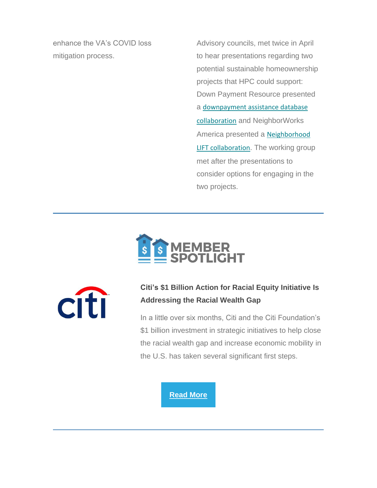enhance the VA's COVID loss mitigation process.

Advisory councils, met twice in April to hear presentations regarding two potential sustainable homeownership projects that HPC could support: Down Payment Resource presented a [downpayment assistance database](https://housingpolicycouncil.us4.list-manage.com/track/click?u=5140623077e4523696cc45400&id=a3884fc87f&e=c083e28ab2)  [collaboration](https://housingpolicycouncil.us4.list-manage.com/track/click?u=5140623077e4523696cc45400&id=a3884fc87f&e=c083e28ab2) and NeighborWorks America presented a [Neighborhood](https://housingpolicycouncil.us4.list-manage.com/track/click?u=5140623077e4523696cc45400&id=640d5aca0e&e=c083e28ab2)  [LIFT collaboration](https://housingpolicycouncil.us4.list-manage.com/track/click?u=5140623077e4523696cc45400&id=640d5aca0e&e=c083e28ab2). The working group met after the presentations to consider options for engaging in the two projects.





# **Citi's \$1 Billion Action for Racial Equity Initiative Is Addressing the Racial Wealth Gap**

<span id="page-7-0"></span>In a little over six months, Citi and the Citi Foundation's \$1 billion investment in strategic initiatives to help close the racial wealth gap and increase economic mobility in the U.S. has taken several significant first steps.

#### **[Read More](https://housingpolicycouncil.us4.list-manage.com/track/click?u=5140623077e4523696cc45400&id=3dd6b95113&e=c083e28ab2)**